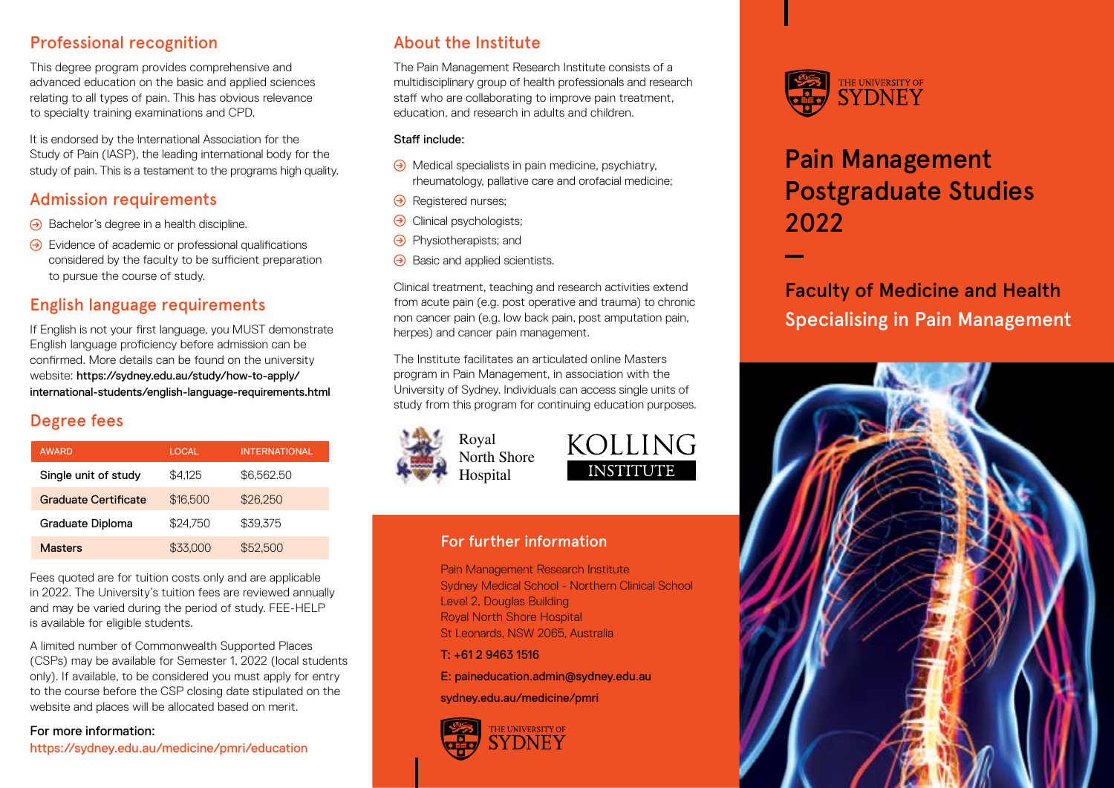### Professional recognition

This degree program provides comprehensive and advanced education on the basic and applied sciences relating to all types of pain. This has obvious relevance to specialty training examinations and CPD.

It is endorsed by the International Association for the Study of Pain (IASP), the leading international body for the study of pain. This is a testament to the programs high quality.

### Admission requirements

- $\Theta$  Bachelor's degree in a health discipline.
- $\Theta$  Evidence of academic or professional qualifications considered by the faculty to be sufficient preparation to pursue the course of study.

# English language requirements

If English is not your first language, you MUST demonstrate English language proficiency before admission can be confirmed. More details can be found on the university website: [https://sydney.edu.au/study/how-to-apply/](https://sydney.edu.au/study/how-to-apply/international-students/english-language-requirements.html) [international-students/english-language-requirements.html](https://sydney.edu.au/study/how-to-apply/international-students/english-language-requirements.html)

# Degree fees

| <b>AWARD</b>         | LOCAL    | <b>INTERNATIONAL</b> |
|----------------------|----------|----------------------|
| Single unit of study | \$4.125  | \$6,562.50           |
| Graduate Certificate | \$16,500 | \$26,250             |
| Graduate Diploma     | \$24.750 | \$39.375             |
| Masters              | \$33,000 | \$52,500             |

Fees quoted are for tuition costs only and are applicable in 2022. The University's tuition fees are reviewed annually and may be varied during the period of study. FEE-HELP is available for eligible students.

A limited number of Commonwealth Supported Places (CSPs) may be available for Semester 1, 2022 (local students only). If available, to be considered you must apply for entry to the course before the CSP closing date stipulated on the website and places will be allocated based on merit.

#### For more information:

<https://sydney.edu.au/medicine/pmri/education>

# About the Institute

The Pain Management Research Institute consists of a multidisciplinary group of health professionals and research staff who are collaborating to improve pain treatment, education, and research in adults and children.

#### Staff include:

- $\Theta$  Medical specialists in pain medicine, psychiatry, rheumatology, pallative care and orofacial medicine;
- $\Theta$  Registered nurses;
- $\Theta$  Clinical psychologists;
- $\Theta$  Physiotherapists; and
- $\Theta$  Basic and applied scientists.

Clinical treatment, teaching and research activities extend from acute pain (e.g. post operative and trauma) to chronic non cancer pain (e.g. low back pain, post amputation pain, herpes) and cancer pain management.

The Institute facilitates an articulated online Masters program in Pain Management, in association with the University of Sydney. Individuals can access single units of study from this program for continuing education purposes.



North Shore Hospital



#### For further information

Pain Management Research Institute Sydney Medical School - Northern Clinical School Level 2, Douglas Building Royal North Shore Hospital St Leonards, NSW 2065, Australia

 $T: +61294631516$ 

E: [paineducation.admin@sydney.edu.au](mailto:paineducation.admin%40sydney.edu.au?subject=)

[sydney.edu.au/medicine/pmri](https://sydney.edu.au/medicine/pmri)





# Pain Management Postgraduate Studies 2022

Faculty of Medicine and Health Specialising in Pain Management